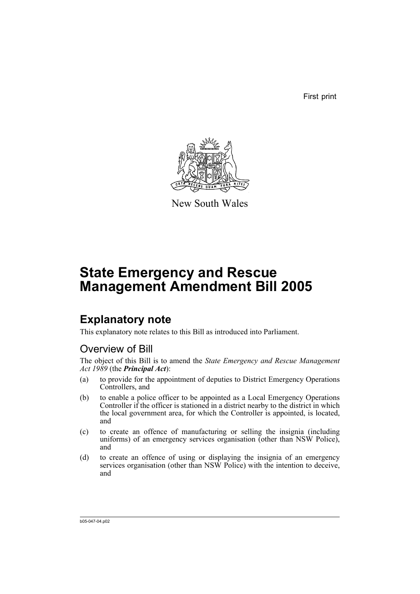First print



New South Wales

# **State Emergency and Rescue Management Amendment Bill 2005**

## **Explanatory note**

This explanatory note relates to this Bill as introduced into Parliament.

### Overview of Bill

The object of this Bill is to amend the *State Emergency and Rescue Management Act 1989* (the *Principal Act*):

- (a) to provide for the appointment of deputies to District Emergency Operations Controllers, and
- (b) to enable a police officer to be appointed as a Local Emergency Operations Controller if the officer is stationed in a district nearby to the district in which the local government area, for which the Controller is appointed, is located, and
- (c) to create an offence of manufacturing or selling the insignia (including uniforms) of an emergency services organisation (other than NSW Police), and
- (d) to create an offence of using or displaying the insignia of an emergency services organisation (other than NSW Police) with the intention to deceive, and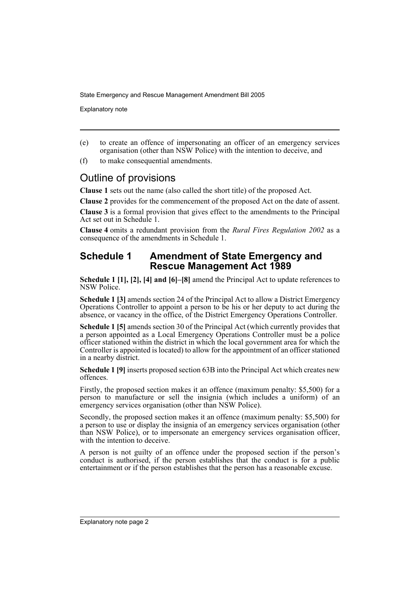Explanatory note

- (e) to create an offence of impersonating an officer of an emergency services organisation (other than NSW Police) with the intention to deceive, and
- (f) to make consequential amendments.

### Outline of provisions

**Clause 1** sets out the name (also called the short title) of the proposed Act.

**Clause 2** provides for the commencement of the proposed Act on the date of assent.

**Clause 3** is a formal provision that gives effect to the amendments to the Principal Act set out in Schedule 1.

**Clause 4** omits a redundant provision from the *Rural Fires Regulation 2002* as a consequence of the amendments in Schedule 1.

#### **Schedule 1 Amendment of State Emergency and Rescue Management Act 1989**

**Schedule 1 [1], [2], [4] and [6]–[8]** amend the Principal Act to update references to NSW Police.

**Schedule 1 [3]** amends section 24 of the Principal Act to allow a District Emergency Operations Controller to appoint a person to be his or her deputy to act during the absence, or vacancy in the office, of the District Emergency Operations Controller.

**Schedule 1 [5]** amends section 30 of the Principal Act (which currently provides that a person appointed as a Local Emergency Operations Controller must be a police officer stationed within the district in which the local government area for which the Controller is appointed is located) to allow for the appointment of an officer stationed in a nearby district.

**Schedule 1 [9]** inserts proposed section 63B into the Principal Act which creates new offences.

Firstly, the proposed section makes it an offence (maximum penalty: \$5,500) for a person to manufacture or sell the insignia (which includes a uniform) of an emergency services organisation (other than NSW Police).

Secondly, the proposed section makes it an offence (maximum penalty: \$5,500) for a person to use or display the insignia of an emergency services organisation (other than NSW Police), or to impersonate an emergency services organisation officer, with the intention to deceive.

A person is not guilty of an offence under the proposed section if the person's conduct is authorised, if the person establishes that the conduct is for a public entertainment or if the person establishes that the person has a reasonable excuse.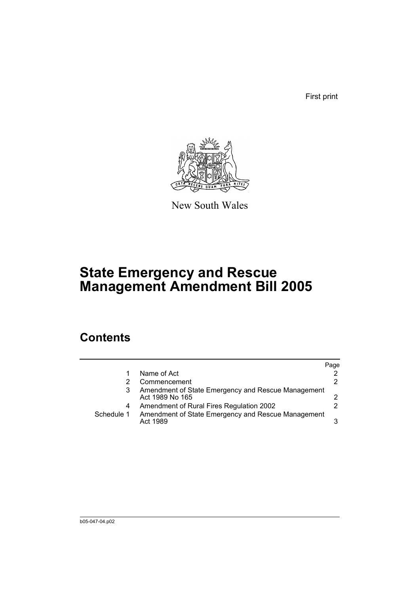First print



New South Wales

# **State Emergency and Rescue Management Amendment Bill 2005**

## **Contents**

|            |                                                                       | Page |
|------------|-----------------------------------------------------------------------|------|
|            | Name of Act                                                           | 2    |
|            | Commencement                                                          | 2    |
|            | Amendment of State Emergency and Rescue Management<br>Act 1989 No 165 |      |
| 4          | Amendment of Rural Fires Regulation 2002                              |      |
| Schedule 1 | Amendment of State Emergency and Rescue Management<br>Act 1989        | 3    |
|            |                                                                       |      |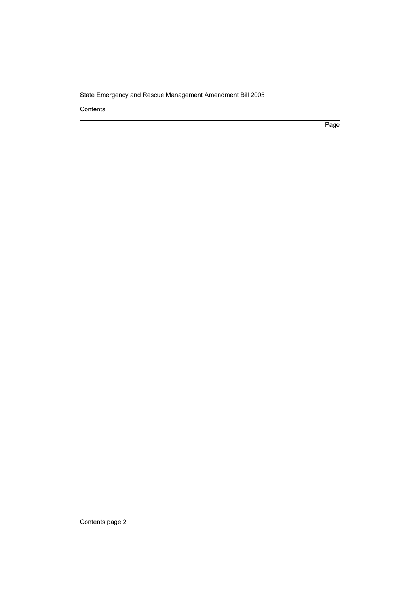Contents

Page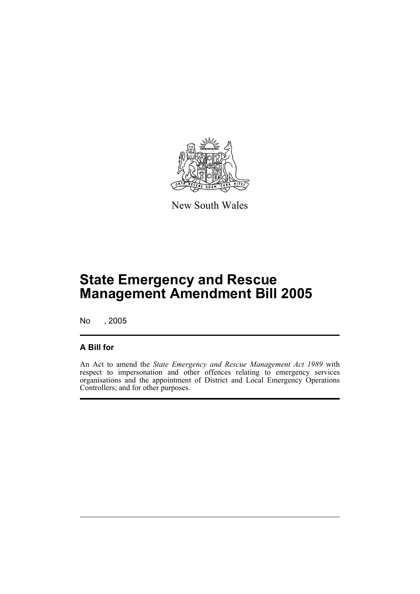

New South Wales

# **State Emergency and Rescue Management Amendment Bill 2005**

No , 2005

#### **A Bill for**

An Act to amend the *State Emergency and Rescue Management Act 1989* with respect to impersonation and other offences relating to emergency services organisations and the appointment of District and Local Emergency Operations Controllers; and for other purposes.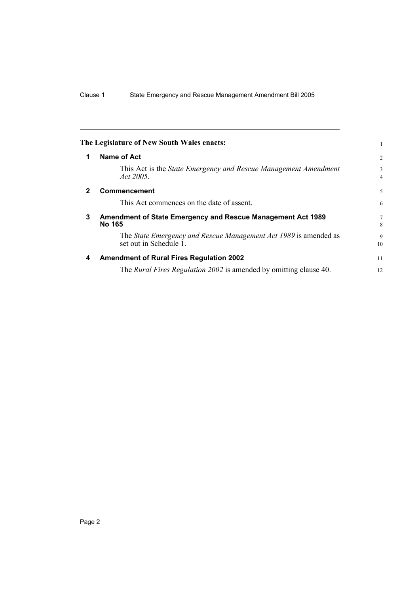|              | The Legislature of New South Wales enacts:                                                 |                     |
|--------------|--------------------------------------------------------------------------------------------|---------------------|
| 1            | Name of Act                                                                                | $\overline{2}$      |
|              | This Act is the State Emergency and Rescue Management Amendment<br>Act 2005.               | 3<br>$\overline{4}$ |
| $\mathbf{2}$ | Commencement                                                                               | 5                   |
|              | This Act commences on the date of assent.                                                  | 6                   |
| 3            | Amendment of State Emergency and Rescue Management Act 1989<br>No 165                      |                     |
|              | The State Emergency and Rescue Management Act 1989 is amended as<br>set out in Schedule 1. | 9<br>10             |
| 4            | <b>Amendment of Rural Fires Regulation 2002</b>                                            | 11                  |
|              | The <i>Rural Fires Regulation 2002</i> is amended by omitting clause 40.                   | 12                  |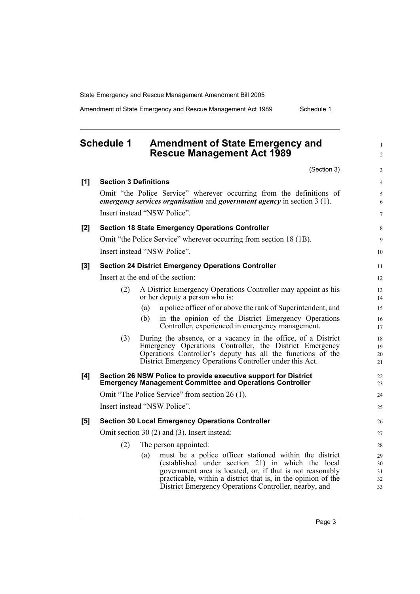Amendment of State Emergency and Rescue Management Act 1989 Schedule 1

1  $\mathfrak{Z}$ 

8  $\overline{Q}$ 

### **Schedule 1 Amendment of State Emergency and Rescue Management Act 1989**

(Section 3) **[1] Section 3 Definitions** Omit "the Police Service" wherever occurring from the definitions of *emergency services organisation* and *government agency* in section 3 (1). Insert instead "NSW Police". **[2] Section 18 State Emergency Operations Controller** Omit "the Police Service" wherever occurring from section 18 (1B). Insert instead "NSW Police". **[3] Section 24 District Emergency Operations Controller** Insert at the end of the section: (2) A District Emergency Operations Controller may appoint as his or her deputy a person who is: (a) a police officer of or above the rank of Superintendent, and (b) in the opinion of the District Emergency Operations Controller, experienced in emergency management. (3) During the absence, or a vacancy in the office, of a District Emergency Operations Controller, the District Emergency Operations Controller's deputy has all the functions of the District Emergency Operations Controller under this Act. **[4] Section 26 NSW Police to provide executive support for District Emergency Management Committee and Operations Controller** Omit "The Police Service" from section 26 (1). Insert instead "NSW Police". **[5] Section 30 Local Emergency Operations Controller** Omit section 30 (2) and (3). Insert instead: (2) The person appointed: (a) must be a police officer stationed within the district (established under section 21) in which the local government area is located, or, if that is not reasonably practicable, within a district that is, in the opinion of the District Emergency Operations Controller, nearby, and 10 11 12 13 14 15 16 17 18 19 20  $21$ 22 23 24 25 26 27 28 29 30 31 32 33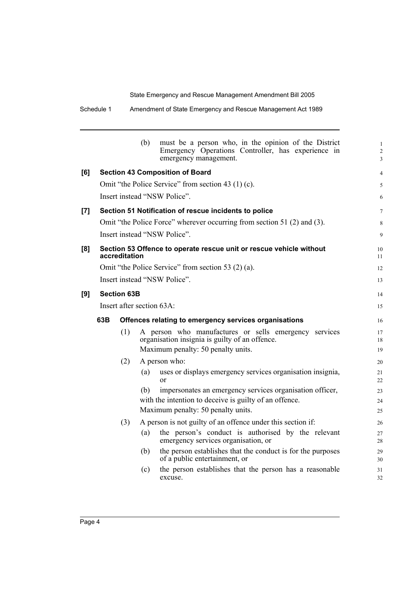|     |                                                                                      |                                                       | (b) | must be a person who, in the opinion of the District<br>Emergency Operations Controller, has experience in<br>emergency management.           | $\mathbf{1}$<br>$\overline{2}$<br>3 |
|-----|--------------------------------------------------------------------------------------|-------------------------------------------------------|-----|-----------------------------------------------------------------------------------------------------------------------------------------------|-------------------------------------|
| [6] |                                                                                      |                                                       |     | <b>Section 43 Composition of Board</b>                                                                                                        | $\overline{4}$                      |
|     |                                                                                      |                                                       |     | Omit "the Police Service" from section 43 (1) (c).                                                                                            | 5                                   |
|     | Insert instead "NSW Police".                                                         |                                                       |     |                                                                                                                                               |                                     |
| [7] | Section 51 Notification of rescue incidents to police                                |                                                       |     |                                                                                                                                               | $\tau$                              |
|     |                                                                                      |                                                       |     | Omit "the Police Force" wherever occurring from section 51 (2) and (3).                                                                       | 8                                   |
|     | Insert instead "NSW Police".                                                         |                                                       |     |                                                                                                                                               | 9                                   |
| [8] | Section 53 Offence to operate rescue unit or rescue vehicle without<br>accreditation |                                                       |     |                                                                                                                                               |                                     |
|     |                                                                                      |                                                       |     | Omit "the Police Service" from section 53 (2) (a).                                                                                            | 12                                  |
|     |                                                                                      |                                                       |     | Insert instead "NSW Police".                                                                                                                  | 13                                  |
| [9] | <b>Section 63B</b>                                                                   |                                                       |     | 14                                                                                                                                            |                                     |
|     | Insert after section 63A:                                                            |                                                       |     | 15                                                                                                                                            |                                     |
|     | 63B                                                                                  | Offences relating to emergency services organisations |     |                                                                                                                                               |                                     |
|     |                                                                                      | (1)                                                   |     | A person who manufactures or sells emergency services<br>organisation insignia is guilty of an offence.<br>Maximum penalty: 50 penalty units. | 17<br>18<br>19                      |
|     |                                                                                      | (2)                                                   |     | A person who:                                                                                                                                 | 20                                  |
|     |                                                                                      |                                                       | (a) | uses or displays emergency services organisation insignia,<br>$\alpha$                                                                        | 21<br>22                            |
|     |                                                                                      |                                                       | (b) | impersonates an emergency services organisation officer,<br>with the intention to deceive is guilty of an offence.                            | 23<br>24                            |
|     |                                                                                      |                                                       |     | Maximum penalty: 50 penalty units.                                                                                                            | 25                                  |
|     |                                                                                      | (3)                                                   |     | A person is not guilty of an offence under this section if:                                                                                   | 26                                  |
|     |                                                                                      |                                                       | (a) | the person's conduct is authorised by the relevant<br>emergency services organisation, or                                                     | 27<br>28                            |
|     |                                                                                      |                                                       | (b) | the person establishes that the conduct is for the purposes<br>of a public entertainment, or                                                  | 29<br>30                            |
|     |                                                                                      |                                                       | (c) | the person establishes that the person has a reasonable<br>excuse.                                                                            | 31<br>32                            |
|     |                                                                                      |                                                       |     |                                                                                                                                               |                                     |